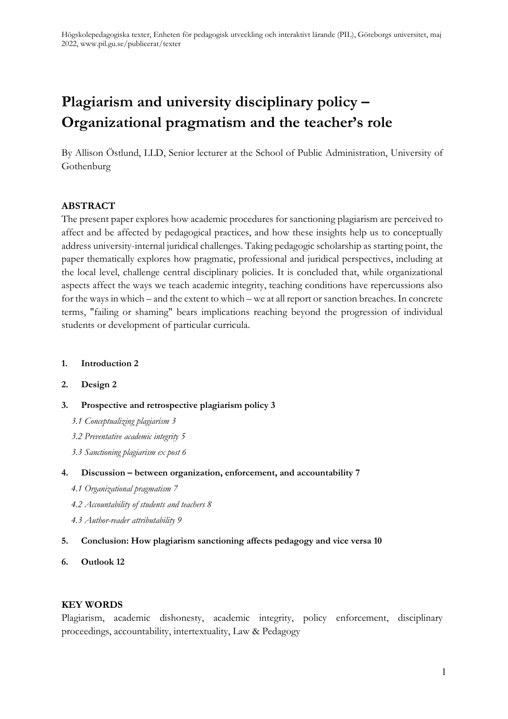# **Plagiarism and university disciplinary policy – Organizational pragmatism and the teacher's role**

By Allison Östlund, LLD, Senior lecturer at the School of Public Administration, University of Gothenburg

#### **ABSTRACT**

The present paper explores how academic procedures for sanctioning plagiarism are perceived to affect and be affected by pedagogical practices, and how these insights help us to conceptually address university-internal juridical challenges. Taking pedagogic scholarship as starting point, the paper thematically explores how pragmatic, professional and juridical perspectives, including at the local level, challenge central disciplinary policies. It is concluded that, while organizational aspects affect the ways we teach academic integrity, teaching conditions have repercussions also for the ways in which – and the extent to which – we at all report or sanction breaches. In concrete terms, "failing or shaming" bears implications reaching beyond the progression of individual students or development of particular curricula.

#### **1. [Introduction](#page-1-0) 2**

#### **2. [Design](#page-1-1) 2**

#### **3. [Prospective and retrospective plagiarism policy](#page-2-0) 3**

- *[3.1 Conceptualizing plagiarism](#page-2-1) 3*
- *[3.2 Preventative academic integrity](#page-4-0) 5*
- *[3.3 Sanctioning plagiarism ex post](#page-5-0) 6*

#### **4. Discussion – [between organization, enforcement, and accountability](#page-6-0) 7**

- *[4.1 Organizational pragmatism](#page-6-1) 7*
- *[4.2 Accountability of students and teachers](#page-7-0) 8*
- *[4.3 Author-reader attributability](#page-8-0) 9*
- **5. [Conclusion: How plagiarism sanctioning affects pedagogy and vice versa](#page-9-0) 10**

#### **6. [Outlook](#page-11-0) 12**

#### **KEY WORDS**

Plagiarism, academic dishonesty, academic integrity, policy enforcement, disciplinary proceedings, accountability, intertextuality, Law & Pedagogy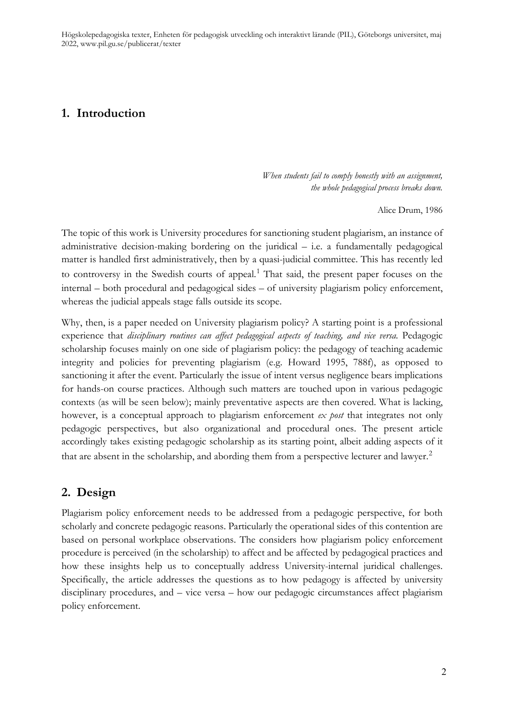### <span id="page-1-0"></span>**1. Introduction**

*When students fail to comply honestly with an assignment, the whole pedagogical process breaks down.*

Alice Drum, 1986

The topic of this work is University procedures for sanctioning student plagiarism, an instance of administrative decision-making bordering on the juridical – i.e. a fundamentally pedagogical matter is handled first administratively, then by a quasi-judicial committee. This has recently led to controversy in the Swedish courts of appeal. [1](#page-13-0) That said, the present paper focuses on the internal – both procedural and pedagogical sides – of university plagiarism policy enforcement, whereas the judicial appeals stage falls outside its scope.

Why, then, is a paper needed on University plagiarism policy? A starting point is a professional experience that *disciplinary routines can affect pedagogical aspects of teaching, and vice versa.* Pedagogic scholarship focuses mainly on one side of plagiarism policy: the pedagogy of teaching academic integrity and policies for preventing plagiarism (e.g. Howard 1995, 788f), as opposed to sanctioning it after the event. Particularly the issue of intent versus negligence bears implications for hands-on course practices. Although such matters are touched upon in various pedagogic contexts (as will be seen below); mainly preventative aspects are then covered. What is lacking, however, is a conceptual approach to plagiarism enforcement *ex post* that integrates not only pedagogic perspectives, but also organizational and procedural ones. The present article accordingly takes existing pedagogic scholarship as its starting point, albeit adding aspects of it that are absent in the scholarship, and abording them from a perspective lecturer and lawyer.<sup>[2](#page-13-1)</sup>

### <span id="page-1-1"></span>**2. Design**

Plagiarism policy enforcement needs to be addressed from a pedagogic perspective, for both scholarly and concrete pedagogic reasons. Particularly the operational sides of this contention are based on personal workplace observations. The considers how plagiarism policy enforcement procedure is perceived (in the scholarship) to affect and be affected by pedagogical practices and how these insights help us to conceptually address University-internal juridical challenges. Specifically, the article addresses the questions as to how pedagogy is affected by university disciplinary procedures, and – vice versa – how our pedagogic circumstances affect plagiarism policy enforcement.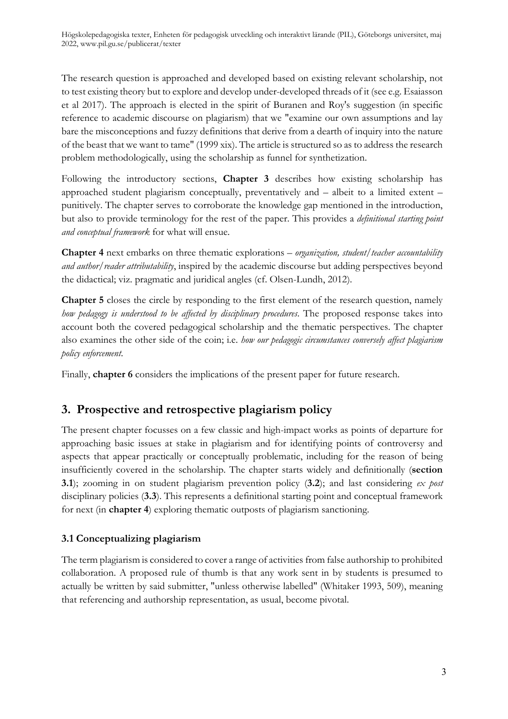The research question is approached and developed based on existing relevant scholarship, not to test existing theory but to explore and develop under-developed threads of it (see e.g. Esaiasson et al 2017). The approach is elected in the spirit of Buranen and Roy's suggestion (in specific reference to academic discourse on plagiarism) that we "examine our own assumptions and lay bare the misconceptions and fuzzy definitions that derive from a dearth of inquiry into the nature of the beast that we want to tame" (1999 xix). The article is structured so as to address the research problem methodologically, using the scholarship as funnel for synthetization.

Following the introductory sections, **Chapter 3** describes how existing scholarship has approached student plagiarism conceptually, preventatively and – albeit to a limited extent – punitively. The chapter serves to corroborate the knowledge gap mentioned in the introduction, but also to provide terminology for the rest of the paper. This provides a *definitional starting point and conceptual framework* for what will ensue.

**Chapter 4** next embarks on three thematic explorations – *organization, student/teacher accountability and author/reader attributability*, inspired by the academic discourse but adding perspectives beyond the didactical; viz. pragmatic and juridical angles (cf. Olsen-Lundh, 2012).

**Chapter 5** closes the circle by responding to the first element of the research question, namely *how pedagogy is understood to be affected by disciplinary procedures*. The proposed response takes into account both the covered pedagogical scholarship and the thematic perspectives. The chapter also examines the other side of the coin; i.e. *how our pedagogic circumstances conversely affect plagiarism policy enforcement*.

Finally, **chapter 6** considers the implications of the present paper for future research.

# <span id="page-2-0"></span>**3. Prospective and retrospective plagiarism policy**

The present chapter focusses on a few classic and high-impact works as points of departure for approaching basic issues at stake in plagiarism and for identifying points of controversy and aspects that appear practically or conceptually problematic, including for the reason of being insufficiently covered in the scholarship. The chapter starts widely and definitionally (**section 3.1**); zooming in on student plagiarism prevention policy (**3.2**); and last considering *ex post* disciplinary policies (**3.3**). This represents a definitional starting point and conceptual framework for next (in **chapter 4**) exploring thematic outposts of plagiarism sanctioning.

#### <span id="page-2-1"></span>**3.1 Conceptualizing plagiarism**

The term plagiarism is considered to cover a range of activities from false authorship to prohibited collaboration. A proposed rule of thumb is that any work sent in by students is presumed to actually be written by said submitter, "unless otherwise labelled" (Whitaker 1993, 509), meaning that referencing and authorship representation, as usual, become pivotal.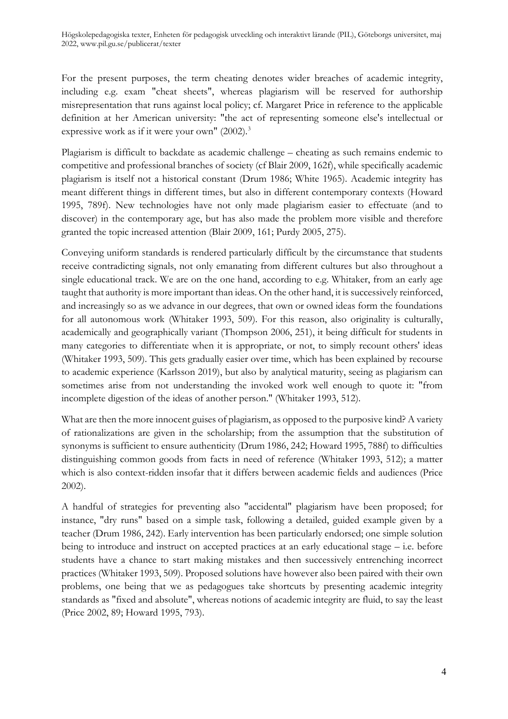For the present purposes, the term cheating denotes wider breaches of academic integrity, including e.g. exam "cheat sheets", whereas plagiarism will be reserved for authorship misrepresentation that runs against local policy; cf. Margaret Price in reference to the applicable definition at her American university: "the act of representing someone else's intellectual or expressive work as if it were your own" (2002).<sup>[3](#page-13-2)</sup>

Plagiarism is difficult to backdate as academic challenge – cheating as such remains endemic to competitive and professional branches of society (cf Blair 2009, 162f), while specifically academic plagiarism is itself not a historical constant (Drum 1986; White 1965). Academic integrity has meant different things in different times, but also in different contemporary contexts (Howard 1995, 789f). New technologies have not only made plagiarism easier to effectuate (and to discover) in the contemporary age, but has also made the problem more visible and therefore granted the topic increased attention (Blair 2009, 161; Purdy 2005, 275).

Conveying uniform standards is rendered particularly difficult by the circumstance that students receive contradicting signals, not only emanating from different cultures but also throughout a single educational track. We are on the one hand, according to e.g. Whitaker, from an early age taught that authority is more important than ideas. On the other hand, it is successively reinforced, and increasingly so as we advance in our degrees, that own or owned ideas form the foundations for all autonomous work (Whitaker 1993, 509). For this reason, also originality is culturally, academically and geographically variant (Thompson 2006, 251), it being difficult for students in many categories to differentiate when it is appropriate, or not, to simply recount others' ideas (Whitaker 1993, 509). This gets gradually easier over time, which has been explained by recourse to academic experience (Karlsson 2019), but also by analytical maturity, seeing as plagiarism can sometimes arise from not understanding the invoked work well enough to quote it: "from incomplete digestion of the ideas of another person." (Whitaker 1993, 512).

What are then the more innocent guises of plagiarism, as opposed to the purposive kind? A variety of rationalizations are given in the scholarship; from the assumption that the substitution of synonyms is sufficient to ensure authenticity (Drum 1986, 242; Howard 1995, 788f) to difficulties distinguishing common goods from facts in need of reference (Whitaker 1993, 512); a matter which is also context-ridden insofar that it differs between academic fields and audiences (Price 2002).

A handful of strategies for preventing also "accidental" plagiarism have been proposed; for instance, "dry runs" based on a simple task, following a detailed, guided example given by a teacher (Drum 1986, 242). Early intervention has been particularly endorsed; one simple solution being to introduce and instruct on accepted practices at an early educational stage – i.e. before students have a chance to start making mistakes and then successively entrenching incorrect practices (Whitaker 1993, 509). Proposed solutions have however also been paired with their own problems, one being that we as pedagogues take shortcuts by presenting academic integrity standards as "fixed and absolute", whereas notions of academic integrity are fluid, to say the least (Price 2002, 89; Howard 1995, 793).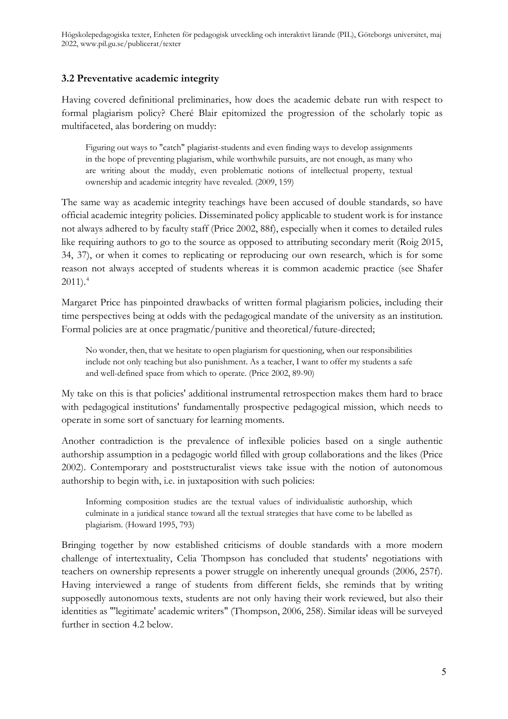#### <span id="page-4-0"></span>**3.2 Preventative academic integrity**

Having covered definitional preliminaries, how does the academic debate run with respect to formal plagiarism policy? Cheré Blair epitomized the progression of the scholarly topic as multifaceted, alas bordering on muddy:

Figuring out ways to "catch" plagiarist-students and even finding ways to develop assignments in the hope of preventing plagiarism, while worthwhile pursuits, are not enough, as many who are writing about the muddy, even problematic notions of intellectual property, textual ownership and academic integrity have revealed. (2009, 159)

The same way as academic integrity teachings have been accused of double standards, so have official academic integrity policies. Disseminated policy applicable to student work is for instance not always adhered to by faculty staff (Price 2002, 88f), especially when it comes to detailed rules like requiring authors to go to the source as opposed to attributing secondary merit (Roig 2015, 34, 37), or when it comes to replicating or reproducing our own research, which is for some reason not always accepted of students whereas it is common academic practice (see Shafer  $2011$ ).<sup>[4](#page-13-3)</sup>

Margaret Price has pinpointed drawbacks of written formal plagiarism policies, including their time perspectives being at odds with the pedagogical mandate of the university as an institution. Formal policies are at once pragmatic/punitive and theoretical/future-directed;

No wonder, then, that we hesitate to open plagiarism for questioning, when our responsibilities include not only teaching but also punishment. As a teacher, I want to offer my students a safe and well-defined space from which to operate. (Price 2002, 89-90)

My take on this is that policies' additional instrumental retrospection makes them hard to brace with pedagogical institutions' fundamentally prospective pedagogical mission, which needs to operate in some sort of sanctuary for learning moments.

Another contradiction is the prevalence of inflexible policies based on a single authentic authorship assumption in a pedagogic world filled with group collaborations and the likes (Price 2002). Contemporary and poststructuralist views take issue with the notion of autonomous authorship to begin with, i.e. in juxtaposition with such policies:

Informing composition studies are the textual values of individualistic authorship, which culminate in a juridical stance toward all the textual strategies that have come to be labelled as plagiarism. (Howard 1995, 793)

Bringing together by now established criticisms of double standards with a more modern challenge of intertextuality, Celia Thompson has concluded that students' negotiations with teachers on ownership represents a power struggle on inherently unequal grounds (2006, 257f). Having interviewed a range of students from different fields, she reminds that by writing supposedly autonomous texts, students are not only having their work reviewed, but also their identities as "'legitimate' academic writers" (Thompson, 2006, 258). Similar ideas will be surveyed further in section 4.2 below.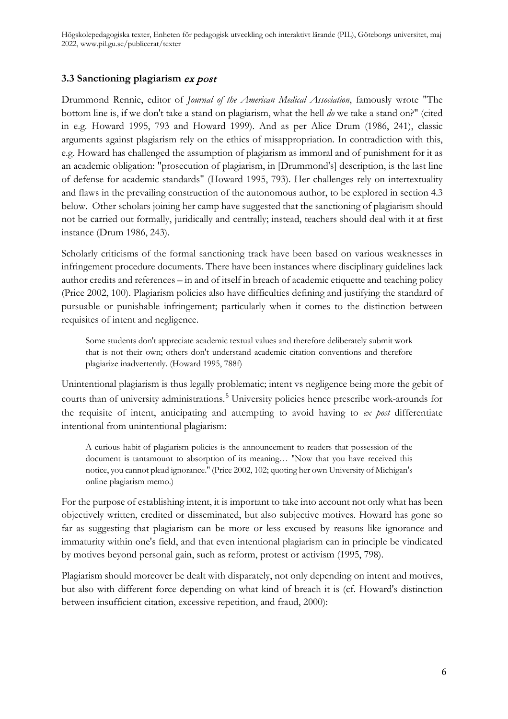#### <span id="page-5-0"></span>**3.3 Sanctioning plagiarism** ex post

Drummond Rennie, editor of *Journal of the American Medical Association*, famously wrote "The bottom line is, if we don't take a stand on plagiarism, what the hell *do* we take a stand on?" (cited in e.g. Howard 1995, 793 and Howard 1999). And as per Alice Drum (1986, 241), classic arguments against plagiarism rely on the ethics of misappropriation. In contradiction with this, e.g. Howard has challenged the assumption of plagiarism as immoral and of punishment for it as an academic obligation: "prosecution of plagiarism, in [Drummond's] description, is the last line of defense for academic standards" (Howard 1995, 793). Her challenges rely on intertextuality and flaws in the prevailing construction of the autonomous author, to be explored in section 4.3 below. Other scholars joining her camp have suggested that the sanctioning of plagiarism should not be carried out formally, juridically and centrally; instead, teachers should deal with it at first instance (Drum 1986, 243).

Scholarly criticisms of the formal sanctioning track have been based on various weaknesses in infringement procedure documents. There have been instances where disciplinary guidelines lack author credits and references – in and of itself in breach of academic etiquette and teaching policy (Price 2002, 100). Plagiarism policies also have difficulties defining and justifying the standard of pursuable or punishable infringement; particularly when it comes to the distinction between requisites of intent and negligence.

Some students don't appreciate academic textual values and therefore deliberately submit work that is not their own; others don't understand academic citation conventions and therefore plagiarize inadvertently. (Howard 1995, 788f)

Unintentional plagiarism is thus legally problematic; intent vs negligence being more the gebit of courts than of university administrations.<sup>[5](#page-13-4)</sup> University policies hence prescribe work-arounds for the requisite of intent, anticipating and attempting to avoid having to *ex post* differentiate intentional from unintentional plagiarism:

A curious habit of plagiarism policies is the announcement to readers that possession of the document is tantamount to absorption of its meaning… ''Now that you have received this notice, you cannot plead ignorance.'' (Price 2002, 102; quoting her own University of Michigan's online plagiarism memo.)

For the purpose of establishing intent, it is important to take into account not only what has been objectively written, credited or disseminated, but also subjective motives. Howard has gone so far as suggesting that plagiarism can be more or less excused by reasons like ignorance and immaturity within one's field, and that even intentional plagiarism can in principle be vindicated by motives beyond personal gain, such as reform, protest or activism (1995, 798).

Plagiarism should moreover be dealt with disparately, not only depending on intent and motives, but also with different force depending on what kind of breach it is (cf. Howard's distinction between insufficient citation, excessive repetition, and fraud, 2000):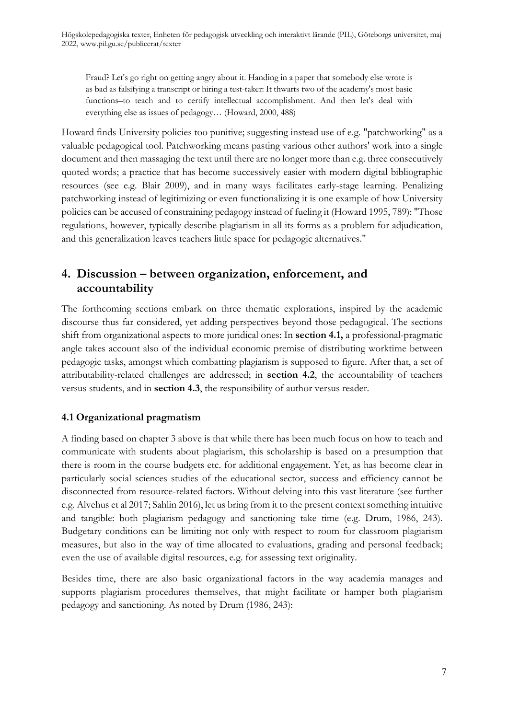Fraud? Let's go right on getting angry about it. Handing in a paper that somebody else wrote is as bad as falsifying a transcript or hiring a test-taker: It thwarts two of the academy's most basic functions–to teach and to certify intellectual accomplishment. And then let's deal with everything else as issues of pedagogy… (Howard, 2000, 488)

Howard finds University policies too punitive; suggesting instead use of e.g. "patchworking" as a valuable pedagogical tool. Patchworking means pasting various other authors' work into a single document and then massaging the text until there are no longer more than e.g. three consecutively quoted words; a practice that has become successively easier with modern digital bibliographic resources (see e.g. Blair 2009), and in many ways facilitates early-stage learning. Penalizing patchworking instead of legitimizing or even functionalizing it is one example of how University policies can be accused of constraining pedagogy instead of fueling it (Howard 1995, 789): "Those regulations, however, typically describe plagiarism in all its forms as a problem for adjudication, and this generalization leaves teachers little space for pedagogic alternatives."

### <span id="page-6-0"></span>**4. Discussion – between organization, enforcement, and accountability**

The forthcoming sections embark on three thematic explorations, inspired by the academic discourse thus far considered, yet adding perspectives beyond those pedagogical. The sections shift from organizational aspects to more juridical ones: In **section 4.1,** a professional-pragmatic angle takes account also of the individual economic premise of distributing worktime between pedagogic tasks, amongst which combatting plagiarism is supposed to figure. After that, a set of attributability-related challenges are addressed; in **section 4.2**, the accountability of teachers versus students, and in **section 4.3**, the responsibility of author versus reader.

#### <span id="page-6-1"></span>**4.1 Organizational pragmatism**

A finding based on chapter 3 above is that while there has been much focus on how to teach and communicate with students about plagiarism, this scholarship is based on a presumption that there is room in the course budgets etc. for additional engagement. Yet, as has become clear in particularly social sciences studies of the educational sector, success and efficiency cannot be disconnected from resource-related factors. Without delving into this vast literature (see further e.g. Alvehus et al 2017; Sahlin 2016), let us bring from it to the present context something intuitive and tangible: both plagiarism pedagogy and sanctioning take time (e.g. Drum, 1986, 243). Budgetary conditions can be limiting not only with respect to room for classroom plagiarism measures, but also in the way of time allocated to evaluations, grading and personal feedback; even the use of available digital resources, e.g. for assessing text originality.

Besides time, there are also basic organizational factors in the way academia manages and supports plagiarism procedures themselves, that might facilitate or hamper both plagiarism pedagogy and sanctioning. As noted by Drum (1986, 243):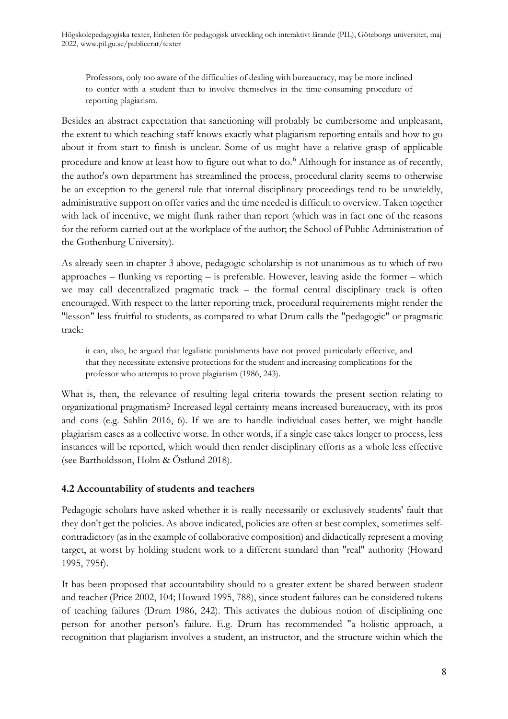Professors, only too aware of the difficulties of dealing with bureaucracy, may be more inclined to confer with a student than to involve themselves in the time-consuming procedure of reporting plagiarism.

Besides an abstract expectation that sanctioning will probably be cumbersome and unpleasant, the extent to which teaching staff knows exactly what plagiarism reporting entails and how to go about it from start to finish is unclear. Some of us might have a relative grasp of applicable procedure and know at least how to figure out what to do.<sup>[6](#page-13-5)</sup> Although for instance as of recently, the author's own department has streamlined the process, procedural clarity seems to otherwise be an exception to the general rule that internal disciplinary proceedings tend to be unwieldly, administrative support on offer varies and the time needed is difficult to overview. Taken together with lack of incentive, we might flunk rather than report (which was in fact one of the reasons for the reform carried out at the workplace of the author; the School of Public Administration of the Gothenburg University).

As already seen in chapter 3 above, pedagogic scholarship is not unanimous as to which of two approaches – flunking vs reporting – is preferable. However, leaving aside the former – which we may call decentralized pragmatic track – the formal central disciplinary track is often encouraged. With respect to the latter reporting track, procedural requirements might render the "lesson" less fruitful to students, as compared to what Drum calls the "pedagogic" or pragmatic track:

it can, also, be argued that legalistic punishments have not proved particularly effective, and that they necessitate extensive protections for the student and increasing complications for the professor who attempts to prove plagiarism (1986, 243).

What is, then, the relevance of resulting legal criteria towards the present section relating to organizational pragmatism? Increased legal certainty means increased bureaucracy, with its pros and cons (e.g. Sahlin 2016, 6). If we are to handle individual cases better, we might handle plagiarism cases as a collective worse. In other words, if a single case takes longer to process, less instances will be reported, which would then render disciplinary efforts as a whole less effective (see Bartholdsson, Holm & Östlund 2018).

#### <span id="page-7-0"></span>**4.2 Accountability of students and teachers**

Pedagogic scholars have asked whether it is really necessarily or exclusively students' fault that they don't get the policies. As above indicated, policies are often at best complex, sometimes selfcontradictory (as in the example of collaborative composition) and didactically represent a moving target, at worst by holding student work to a different standard than "real" authority (Howard 1995, 795f).

It has been proposed that accountability should to a greater extent be shared between student and teacher (Price 2002, 104; Howard 1995, 788), since student failures can be considered tokens of teaching failures (Drum 1986, 242). This activates the dubious notion of disciplining one person for another person's failure. E.g. Drum has recommended "a holistic approach, a recognition that plagiarism involves a student, an instructor, and the structure within which the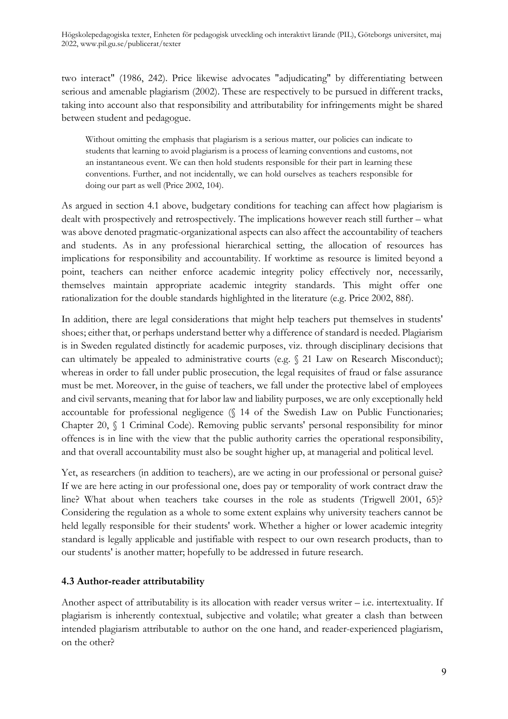two interact" (1986, 242). Price likewise advocates "adjudicating" by differentiating between serious and amenable plagiarism (2002). These are respectively to be pursued in different tracks, taking into account also that responsibility and attributability for infringements might be shared between student and pedagogue.

Without omitting the emphasis that plagiarism is a serious matter, our policies can indicate to students that learning to avoid plagiarism is a process of learning conventions and customs, not an instantaneous event. We can then hold students responsible for their part in learning these conventions. Further, and not incidentally, we can hold ourselves as teachers responsible for doing our part as well (Price 2002, 104).

As argued in section 4.1 above, budgetary conditions for teaching can affect how plagiarism is dealt with prospectively and retrospectively. The implications however reach still further – what was above denoted pragmatic-organizational aspects can also affect the accountability of teachers and students. As in any professional hierarchical setting, the allocation of resources has implications for responsibility and accountability. If worktime as resource is limited beyond a point, teachers can neither enforce academic integrity policy effectively nor, necessarily, themselves maintain appropriate academic integrity standards. This might offer one rationalization for the double standards highlighted in the literature (e.g. Price 2002, 88f).

In addition, there are legal considerations that might help teachers put themselves in students' shoes; either that, or perhaps understand better why a difference of standard is needed. Plagiarism is in Sweden regulated distinctly for academic purposes, viz. through disciplinary decisions that can ultimately be appealed to administrative courts (e.g. § 21 Law on Research Misconduct); whereas in order to fall under public prosecution, the legal requisites of fraud or false assurance must be met. Moreover, in the guise of teachers, we fall under the protective label of employees and civil servants, meaning that for labor law and liability purposes, we are only exceptionally held accountable for professional negligence (§ 14 of the Swedish Law on Public Functionaries; Chapter 20, § 1 Criminal Code). Removing public servants' personal responsibility for minor offences is in line with the view that the public authority carries the operational responsibility, and that overall accountability must also be sought higher up, at managerial and political level.

Yet, as researchers (in addition to teachers), are we acting in our professional or personal guise? If we are here acting in our professional one, does pay or temporality of work contract draw the line? What about when teachers take courses in the role as students (Trigwell 2001, 65)? Considering the regulation as a whole to some extent explains why university teachers cannot be held legally responsible for their students' work. Whether a higher or lower academic integrity standard is legally applicable and justifiable with respect to our own research products, than to our students' is another matter; hopefully to be addressed in future research.

#### <span id="page-8-0"></span>**4.3 Author-reader attributability**

Another aspect of attributability is its allocation with reader versus writer – i.e. intertextuality. If plagiarism is inherently contextual, subjective and volatile; what greater a clash than between intended plagiarism attributable to author on the one hand, and reader-experienced plagiarism, on the other?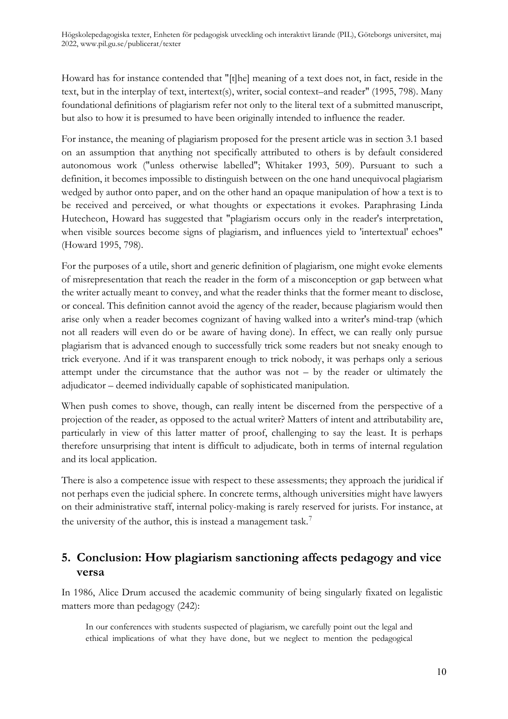Howard has for instance contended that "[t]he] meaning of a text does not, in fact, reside in the text, but in the interplay of text, intertext(s), writer, social context–and reader" (1995, 798). Many foundational definitions of plagiarism refer not only to the literal text of a submitted manuscript, but also to how it is presumed to have been originally intended to influence the reader.

For instance, the meaning of plagiarism proposed for the present article was in section 3.1 based on an assumption that anything not specifically attributed to others is by default considered autonomous work ("unless otherwise labelled"; Whitaker 1993, 509). Pursuant to such a definition, it becomes impossible to distinguish between on the one hand unequivocal plagiarism wedged by author onto paper, and on the other hand an opaque manipulation of how a text is to be received and perceived, or what thoughts or expectations it evokes. Paraphrasing Linda Hutecheon, Howard has suggested that "plagiarism occurs only in the reader's interpretation, when visible sources become signs of plagiarism, and influences yield to 'intertextual' echoes" (Howard 1995, 798).

For the purposes of a utile, short and generic definition of plagiarism, one might evoke elements of misrepresentation that reach the reader in the form of a misconception or gap between what the writer actually meant to convey, and what the reader thinks that the former meant to disclose, or conceal. This definition cannot avoid the agency of the reader, because plagiarism would then arise only when a reader becomes cognizant of having walked into a writer's mind-trap (which not all readers will even do or be aware of having done). In effect, we can really only pursue plagiarism that is advanced enough to successfully trick some readers but not sneaky enough to trick everyone. And if it was transparent enough to trick nobody, it was perhaps only a serious attempt under the circumstance that the author was not – by the reader or ultimately the adjudicator – deemed individually capable of sophisticated manipulation.

When push comes to shove, though, can really intent be discerned from the perspective of a projection of the reader, as opposed to the actual writer? Matters of intent and attributability are, particularly in view of this latter matter of proof, challenging to say the least. It is perhaps therefore unsurprising that intent is difficult to adjudicate, both in terms of internal regulation and its local application.

There is also a competence issue with respect to these assessments; they approach the juridical if not perhaps even the judicial sphere. In concrete terms, although universities might have lawyers on their administrative staff, internal policy-making is rarely reserved for jurists. For instance, at the university of the author, this is instead a management task.<sup>[7](#page-13-6)</sup>

### <span id="page-9-0"></span>**5. Conclusion: How plagiarism sanctioning affects pedagogy and vice versa**

In 1986, Alice Drum accused the academic community of being singularly fixated on legalistic matters more than pedagogy (242):

In our conferences with students suspected of plagiarism, we carefully point out the legal and ethical implications of what they have done, but we neglect to mention the pedagogical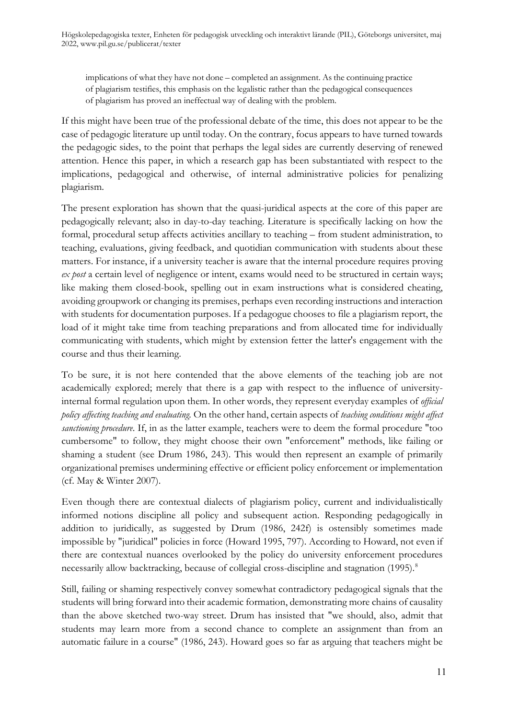implications of what they have not done – completed an assignment. As the continuing practice of plagiarism testifies, this emphasis on the legalistic rather than the pedagogical consequences of plagiarism has proved an ineffectual way of dealing with the problem.

If this might have been true of the professional debate of the time, this does not appear to be the case of pedagogic literature up until today. On the contrary, focus appears to have turned towards the pedagogic sides, to the point that perhaps the legal sides are currently deserving of renewed attention. Hence this paper, in which a research gap has been substantiated with respect to the implications, pedagogical and otherwise, of internal administrative policies for penalizing plagiarism.

The present exploration has shown that the quasi-juridical aspects at the core of this paper are pedagogically relevant; also in day-to-day teaching. Literature is specifically lacking on how the formal, procedural setup affects activities ancillary to teaching – from student administration, to teaching, evaluations, giving feedback, and quotidian communication with students about these matters. For instance, if a university teacher is aware that the internal procedure requires proving *ex post* a certain level of negligence or intent, exams would need to be structured in certain ways; like making them closed-book, spelling out in exam instructions what is considered cheating, avoiding groupwork or changing its premises, perhaps even recording instructions and interaction with students for documentation purposes. If a pedagogue chooses to file a plagiarism report, the load of it might take time from teaching preparations and from allocated time for individually communicating with students, which might by extension fetter the latter's engagement with the course and thus their learning.

To be sure, it is not here contended that the above elements of the teaching job are not academically explored; merely that there is a gap with respect to the influence of universityinternal formal regulation upon them. In other words, they represent everyday examples of *official policy affecting teaching and evaluating.* On the other hand, certain aspects of *teaching conditions might affect sanctioning procedure*. If, in as the latter example, teachers were to deem the formal procedure "too cumbersome" to follow, they might choose their own "enforcement" methods, like failing or shaming a student (see Drum 1986, 243). This would then represent an example of primarily organizational premises undermining effective or efficient policy enforcement or implementation (cf. May & Winter 2007).

Even though there are contextual dialects of plagiarism policy, current and individualistically informed notions discipline all policy and subsequent action. Responding pedagogically in addition to juridically, as suggested by Drum (1986, 242f) is ostensibly sometimes made impossible by "juridical" policies in force (Howard 1995, 797). According to Howard, not even if there are contextual nuances overlooked by the policy do university enforcement procedures necessarily allow backtracking, because of collegial cross-discipline and stagnation (1995).<sup>[8](#page-13-7)</sup>

Still, failing or shaming respectively convey somewhat contradictory pedagogical signals that the students will bring forward into their academic formation, demonstrating more chains of causality than the above sketched two-way street. Drum has insisted that "we should, also, admit that students may learn more from a second chance to complete an assignment than from an automatic failure in a course" (1986, 243). Howard goes so far as arguing that teachers might be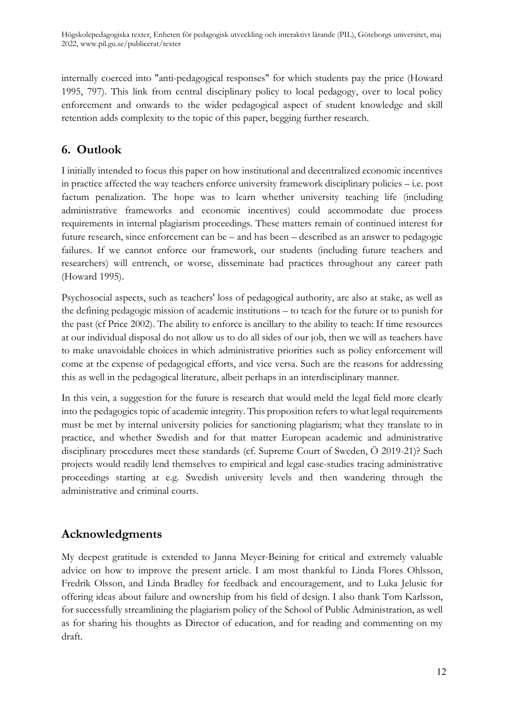internally coerced into "anti-pedagogical responses" for which students pay the price (Howard 1995, 797). This link from central disciplinary policy to local pedagogy, over to local policy enforcement and onwards to the wider pedagogical aspect of student knowledge and skill retention adds complexity to the topic of this paper, begging further research.

# <span id="page-11-0"></span>**6. Outlook**

I initially intended to focus this paper on how institutional and decentralized economic incentives in practice affected the way teachers enforce university framework disciplinary policies – i.e. post factum penalization. The hope was to learn whether university teaching life (including administrative frameworks and economic incentives) could accommodate due process requirements in internal plagiarism proceedings. These matters remain of continued interest for future research, since enforcement can be – and has been – described as an answer to pedagogic failures. If we cannot enforce our framework, our students (including future teachers and researchers) will entrench, or worse, disseminate bad practices throughout any career path (Howard 1995).

Psychosocial aspects, such as teachers' loss of pedagogical authority, are also at stake, as well as the defining pedagogic mission of academic institutions – to teach for the future or to punish for the past (cf Price 2002). The ability to enforce is ancillary to the ability to teach: If time resources at our individual disposal do not allow us to do all sides of our job, then we will as teachers have to make unavoidable choices in which administrative priorities such as policy enforcement will come at the expense of pedagogical efforts, and vice versa. Such are the reasons for addressing this as well in the pedagogical literature, albeit perhaps in an interdisciplinary manner.

In this vein, a suggestion for the future is research that would meld the legal field more clearly into the pedagogics topic of academic integrity. This proposition refers to what legal requirements must be met by internal university policies for sanctioning plagiarism; what they translate to in practice, and whether Swedish and for that matter European academic and administrative disciplinary procedures meet these standards (cf. Supreme Court of Sweden, Ö 2019-21)? Such projects would readily lend themselves to empirical and legal case-studies tracing administrative proceedings starting at e.g. Swedish university levels and then wandering through the administrative and criminal courts.

# **Acknowledgments**

My deepest gratitude is extended to Janna Meyer-Beining for critical and extremely valuable advice on how to improve the present article. I am most thankful to Linda Flores Ohlsson, Fredrik Olsson, and Linda Bradley for feedback and encouragement, and to Luka Jelusic for offering ideas about failure and ownership from his field of design. I also thank Tom Karlsson, for successfully streamlining the plagiarism policy of the School of Public Administration, as well as for sharing his thoughts as Director of education, and for reading and commenting on my draft.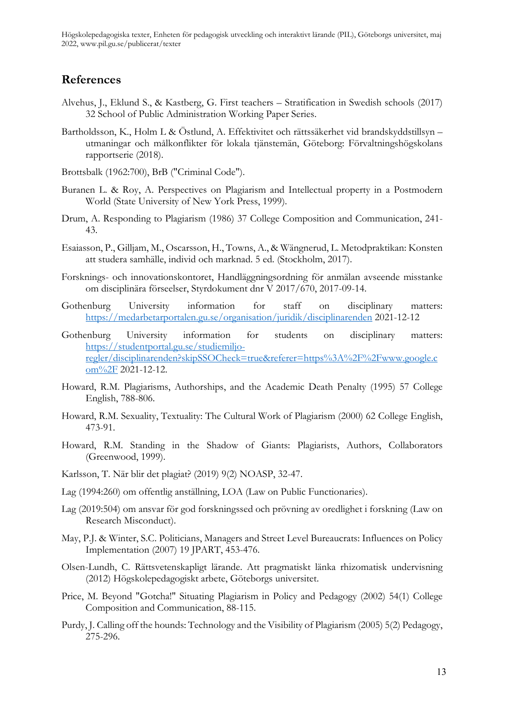### **References**

- Alvehus, J., Eklund S., & Kastberg, G. First teachers Stratification in Swedish schools (2017) 32 School of Public Administration Working Paper Series.
- Bartholdsson, K., Holm L & Östlund, A. Effektivitet och rättssäkerhet vid brandskyddstillsyn utmaningar och målkonflikter för lokala tjänstemän, Göteborg: Förvaltningshögskolans rapportserie (2018).
- Brottsbalk (1962:700), BrB ("Criminal Code").
- Buranen L. & Roy, A. Perspectives on Plagiarism and Intellectual property in a Postmodern World (State University of New York Press, 1999).
- Drum, A. Responding to Plagiarism (1986) 37 College Composition and Communication, 241- 43.
- Esaiasson, P., Gilljam, M., Oscarsson, H., Towns, A., & Wängnerud, L. Metodpraktikan: Konsten att studera samhälle, individ och marknad. 5 ed. (Stockholm, 2017).
- Forsknings- och innovationskontoret, Handläggningsordning för anmälan avseende misstanke om disciplinära förseelser, Styrdokument dnr V 2017/670, 2017-09-14.
- Gothenburg University information for staff on disciplinary matters: <https://medarbetarportalen.gu.se/organisation/juridik/disciplinarenden> 2021-12-12
- Gothenburg University information for students on disciplinary matters: [https://studentportal.gu.se/studiemiljo](https://studentportal.gu.se/studiemiljo-regler/disciplinarenden?skipSSOCheck=true&referer=https%3A%2F%2Fwww.google.com%2F)[regler/disciplinarenden?skipSSOCheck=true&referer=https%3A%2F%2Fwww.google.c](https://studentportal.gu.se/studiemiljo-regler/disciplinarenden?skipSSOCheck=true&referer=https%3A%2F%2Fwww.google.com%2F) [om%2F](https://studentportal.gu.se/studiemiljo-regler/disciplinarenden?skipSSOCheck=true&referer=https%3A%2F%2Fwww.google.com%2F) 2021-12-12.
- Howard, R.M. Plagiarisms, Authorships, and the Academic Death Penalty (1995) 57 College English, 788-806.
- Howard, R.M. Sexuality, Textuality: The Cultural Work of Plagiarism (2000) 62 College English, 473-91.
- Howard, R.M. Standing in the Shadow of Giants: Plagiarists, Authors, Collaborators (Greenwood, 1999).
- Karlsson, T. När blir det plagiat? (2019) 9(2) NOASP, 32-47.
- Lag (1994:260) om offentlig anställning, LOA (Law on Public Functionaries).
- Lag (2019:504) om ansvar för god forskningssed och prövning av oredlighet i forskning (Law on Research Misconduct).
- May, P.J. & Winter, S.C. Politicians, Managers and Street Level Bureaucrats: Influences on Policy Implementation (2007) 19 JPART, 453-476.
- Olsen-Lundh, C. Rättsvetenskapligt lärande. Att pragmatiskt länka rhizomatisk undervisning (2012) Högskolepedagogiskt arbete, Göteborgs universitet.
- Price, M. Beyond "Gotcha!" Situating Plagiarism in Policy and Pedagogy (2002) 54(1) College Composition and Communication, 88-115.
- Purdy, J. Calling off the hounds: Technology and the Visibility of Plagiarism (2005) 5(2) Pedagogy, 275-296.